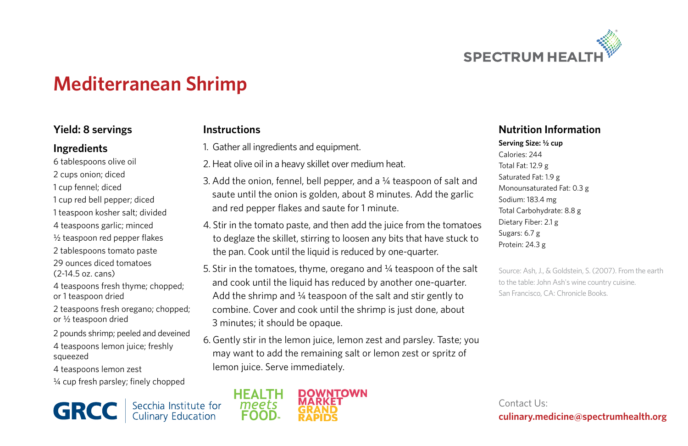

# **Mediterranean Shrimp**

## **Yield: 8 servings**

#### **Ingredients**

- 6 tablespoons olive oil 2 cups onion; diced 1 cup fennel; diced 1 cup red bell pepper; diced 1 teaspoon kosher salt; divided 4 teaspoons garlic; minced ½ teaspoon red pepper flakes 2 tablespoons tomato paste 29 ounces diced tomatoes  $(2-14.5 \text{ oz} \text{ cans})$ 4 teaspoons fresh thyme; chopped; or 1 teaspoon dried
- 2 teaspoons fresh oregano; chopped; or ½ teaspoon dried
- 2 pounds shrimp; peeled and deveined
- 4 teaspoons lemon juice; freshly squeezed
- 4 teaspoons lemon zest
- ¼ cup fresh parsley; finely chopped

Secchia Institute for<br>Culinary Education **GRCC** 

# **Instructions**

- 1. Gather all ingredients and equipment.
- 2. Heat olive oil in a heavy skillet over medium heat.
- 3. Add the onion, fennel, bell pepper, and a ¼ teaspoon of salt and saute until the onion is golden, about 8 minutes. Add the garlic and red pepper flakes and saute for 1 minute.
- 4. Stir in the tomato paste, and then add the juice from the tomatoes to deglaze the skillet, stirring to loosen any bits that have stuck to the pan. Cook until the liquid is reduced by one-quarter.
- 5. Stir in the tomatoes, thyme, oregano and ¼ teaspoon of the salt and cook until the liquid has reduced by another one-quarter. Add the shrimp and  $\frac{1}{4}$  teaspoon of the salt and stir gently to combine. Cover and cook until the shrimp is just done, about 3 minutes; it should be opaque.
- 6. Gently stir in the lemon juice, lemon zest and parsley. Taste; you may want to add the remaining salt or lemon zest or spritz of lemon juice. Serve immediately.



### **Nutrition Information**

**Serving Size: ½ cup** Calories: 244 Total Fat: 12.9 g Saturated Fat: 1.9 g Monounsaturated Fat: 0.3 g Sodium: 183.4 mg Total Carbohydrate: 8.8 g Dietary Fiber: 2.1 g Sugars: 6.7 g Protein: 24.3 g

Source: Ash, J., & Goldstein, S. (2007). From the earth. to the table: John Ash's wine country cuisine. San Francisco, CA: Chronicle Books.

Contact Us: **culinary.medicine@spectrumhealth.org**